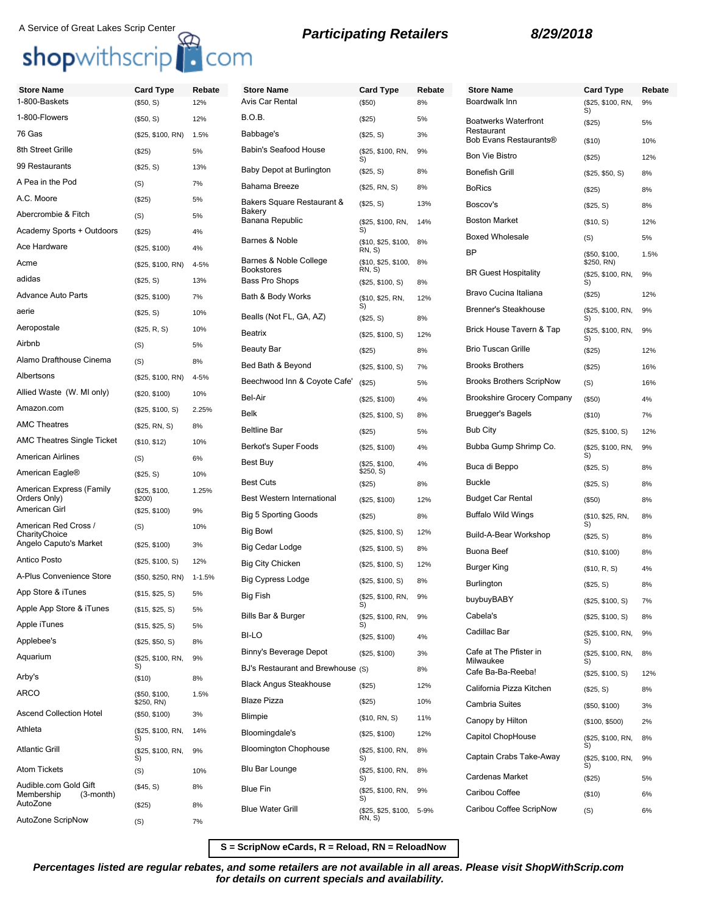## **Participating Retailers 8/29/2018** A Service of Great Lakes Scrip Center

## shopwithscrip<sup>1</sup> com

## **Store Name Card Type Rebate** 1-800-Baskets (\$50, S) 12% 1-800-Flowers (\$50, S) 12% 76 Gas (\$25, \$100, RN) 1.5% 8th Street Grille (\$25) 5% 99 Restaurants (\$25, S) 13% A Pea in the Pod (S) 7% A.C. Moore (\$25) 5% Abercrombie & Fitch (S) 5% Academy Sports + Outdoors (\$25) 4% Ace Hardware (\$25, \$100) 4% Acme (\$25, \$100, RN) 4-5% adidas (\$25, S) 13% Advance Auto Parts (\$25, \$100) 7% aerie (\$25, S) 10% Aeropostale (\$25, R, S) 10% Airbnb (S) 5% Alamo Drafthouse Cinema (S) 8% Albertsons (\$25, \$100, RN) 4-5% Allied Waste (W. MI only) (\$20, \$100) 10% Amazon.com (\$25, \$100, S) 2.25% AMC Theatres (\$25, RN, S) 8% AMC Theatres Single Ticket (\$10, \$12) 10% American Airlines (S) 6% American Eagle® (\$25, S) 10% American Express (Family Orders Only) (\$25, \$100, \$200) 1.25% American Girl (\$25, \$100) 9% American Red Cross / **CharityChoice** (S) 10% Angelo Caputo's Market (\$25, \$100) 3% Antico Posto (\$25, \$100, S) 12% A-Plus Convenience Store (\$50, \$250, RN) 1-1.5% App Store & iTunes (\$15, \$25, S) 5% Apple App Store & iTunes (\$15, \$25, S) 5% Apple iTunes (\$15, \$25, S) 5% Applebee's (\$25, \$50, S) 8% Aquarium (\$25, \$100, RN, S) 9% **Store Name Card Type Rebate** Avis Car Rental (\$50) 8% B.O.B. (\$25) 5% Babbage's (\$25, S) 3% Babin's Seafood House (\$25, \$100, RN, Baby Depot at Burlington (\$25, S) 8% Bahama Breeze (\$25, RN, S) 8% Bakers Square Restaurant & Bakery Banana Republic (\$25, \$100, RN, Barnes & Noble (\$10, \$25, \$100, RN, S) Barnes & Noble College Bookstores Bass Pro Shops (\$25, \$100, S) 8% Bath & Body Works Bealls (Not FL, GA, AZ) (\$25, S) 8% Beatrix (\$25, \$100, S) 12% Beauty Bar (\$25) 8% Bed Bath & Beyond (\$25, \$100, S) 7% Beechwood Inn & Coyote Cafe' (\$25) 5% Bel-Air (\$25, \$100) 4% Belk (\$25, \$100, S) 8% Beltline Bar (\$25) 5% Berkot's Super Foods (\$25, \$100) 4% Best Buy (\$25, \$100, Best Cuts (\$25) 8% Best Western International (\$25, \$100) 12% Big 5 Sporting Goods (\$25) 8% Big Bowl (\$25, \$100, S) 12% Big Cedar Lodge (\$25, \$100, S) 8% Big City Chicken (\$25, \$100, S) 12% Big Cypress Lodge (\$25, \$100, S) 8% Big Fish (\$25, \$100, RN, Bills Bar & Burger BI-LO (\$25, \$100) 4% Binny's Beverage Depot (\$25, \$100) 3% BJ's Restaurant and Brewhouse (S) 8%

Arby's (\$10) 8% ARCO (\$50, \$100,

Ascend Collection Hotel (\$50, \$100) 3% Athleta (\$25, \$100, RN,

Atom Tickets (S) 10%

AutoZone (\$25) 8% AutoZone ScripNow (S) 7%

Atlantic Grill (\$25, \$100, RN,

Audible.com Gold Gift<br>Membership (3-month)

Membership

\$250, RN)

(\$45, S) 8%

S)

S)

1.5%

14%

9%

|  | Participating Retailers |  |
|--|-------------------------|--|
|  |                         |  |

9%

14%

8%

12%

4%

9%

9%

8%

8%

9%

(\$25, S) 13%

(\$10, \$25, \$100, 8%

S)

S)

RN, S)

\$250, S)

S)

S)

S)

S)

RN, S)

(\$25, \$100, RN,<br>S)

 $($10, $25, RN, S)$ 

| te | <b>Store Name</b>                         | Card Type                   | Rebate |
|----|-------------------------------------------|-----------------------------|--------|
|    | Boardwalk Inn                             | (\$25, \$100, RN,<br>S)     | 9%     |
|    | <b>Boatwerks Waterfront</b><br>Restaurant | (\$25)                      | 5%     |
|    | Bob Evans Restaurants®                    | (\$10)                      | 10%    |
|    | <b>Bon Vie Bistro</b>                     | $(\$25)$                    | 12%    |
|    | Bonefish Grill                            | (\$25, \$50, S)             | 8%     |
|    | <b>BoRics</b>                             | $(\$25)$                    | 8%     |
|    | Boscov's                                  | (\$25, S)                   | 8%     |
|    | <b>Boston Market</b>                      | (\$10, S)                   | 12%    |
|    | <b>Boxed Wholesale</b>                    | (S)                         | 5%     |
|    | ΒP                                        | (\$50, \$100,<br>\$250, RN) | 1.5%   |
|    | <b>BR Guest Hospitality</b>               | (\$25, \$100, RN,<br>S)     | 9%     |
|    | Bravo Cucina Italiana                     | $(\$25)$                    | 12%    |
|    | <b>Brenner's Steakhouse</b>               | (\$25, \$100, RN,<br>S)     | 9%     |
|    | Brick House Tavern & Tap                  | (\$25, \$100, RN,<br>S)     | 9%     |
|    | <b>Brio Tuscan Grille</b>                 | $(\$25)$                    | 12%    |
|    | <b>Brooks Brothers</b>                    | $(\$25)$                    | 16%    |
|    | <b>Brooks Brothers ScripNow</b>           | (S)                         | 16%    |
|    | <b>Brookshire Grocery Company</b>         | (\$50)                      | 4%     |
|    | Bruegger's Bagels                         | $($ \$10)                   | 7%     |
|    | <b>Bub City</b>                           | (\$25, \$100, S)            | 12%    |
|    | Bubba Gump Shrimp Co.                     | (\$25, \$100, RN,<br>S)     | 9%     |
|    | Buca di Beppo                             | (\$25, S)                   | 8%     |
|    | <b>Buckle</b>                             | (\$25, S)                   | 8%     |
|    | <b>Budget Car Rental</b>                  | $($ \$50)                   | 8%     |
|    | <b>Buffalo Wild Wings</b>                 | (\$10, \$25, RN,<br>S)      | 8%     |
|    | Build-A-Bear Workshop                     | (\$25, S)                   | 8%     |
|    | Buona Beef                                | (\$10, \$100)               | 8%     |
|    | Burger King                               | (\$10, R, S)                | 4%     |
|    | Burlington                                | (\$25, S)                   | 8%     |
|    | buybuyBABY                                | (\$25, \$100, S)            | 7%     |
|    | Cabela's                                  | (\$25, \$100, S)            | 8%     |
|    | Cadillac Bar                              | (\$25, \$100, RN,<br>S)     | 9%     |
|    | Cafe at The Pfister in<br>Milwaukee       | (\$25, \$100, RN,<br>S)     | 8%     |
|    | Cafe Ba-Ba-Reeba!                         | (\$25, \$100, S)            | 12%    |
|    | California Pizza Kitchen                  | (\$25, S)                   | 8%     |
|    | <b>Cambria Suites</b>                     | (\$50, \$100)               | 3%     |
|    | Canopy by Hilton                          | (\$100, \$500)              | 2%     |
|    | Capitol ChopHouse                         | (\$25, \$100, RN,<br>S)     | 8%     |
|    | Captain Crabs Take-Away                   | (\$25, \$100, RN,<br>S)     | 9%     |
|    | Cardenas Market                           | $(\$25)$                    | 5%     |
|    | Caribou Coffee                            | (\$10)                      | 6%     |
|    | Caribou Coffee ScripNow                   | (S)                         | 6%     |

**S = ScripNow eCards, R = Reload, RN = ReloadNow**

Blue Water Grill (\$25, \$25, \$100, 5-9%

Black Angus Steakhouse (\$25) 12% Blaze Pizza (\$25) 10% Blimpie (\$10, RN, S) 11% Bloomingdale's (\$25, \$100) 12% Bloomington Chophouse (\$25, \$100, RN,

**Percentages listed are regular rebates, and some retailers are not available in all areas. Please visit ShopWithScrip.com for details on current specials and availability.**

Blu Bar Lounge (\$25, \$100, RN,

Blue Fin (\$25, \$100, RN,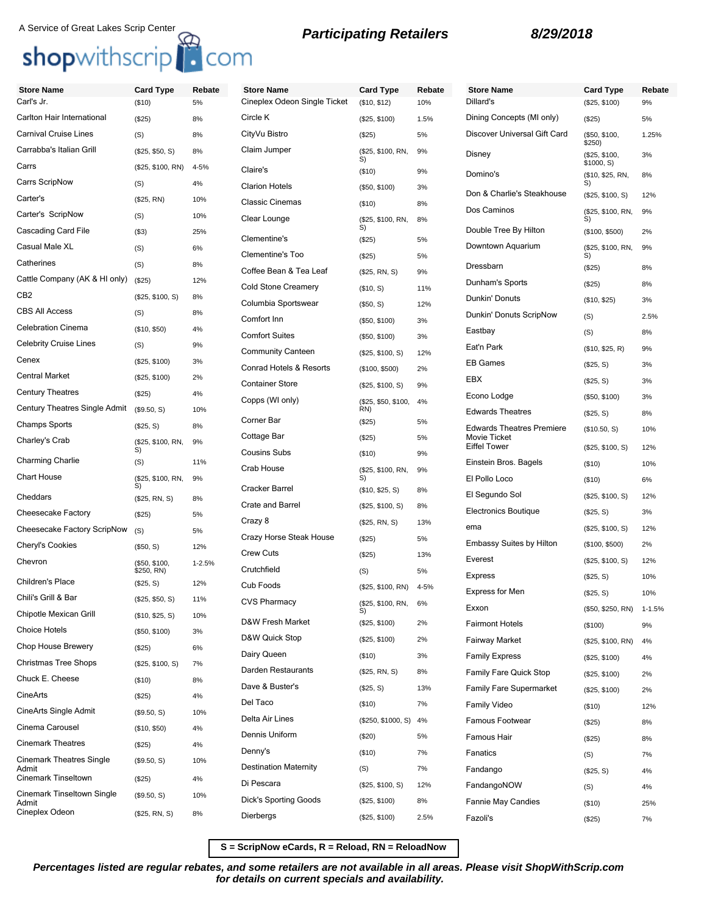# A Service of Great Lakes Scrip Center **Reduce A Service of Great Lakes Scrip Center**<br> **Shop**withscrip **C**OM

| <b>Store Name</b>                    | <b>Card Type</b>            | Rebate     | <b>Store Name</b>                                              | <b>Card Type</b>           | Rebate | <b>Store Name</b>                   |
|--------------------------------------|-----------------------------|------------|----------------------------------------------------------------|----------------------------|--------|-------------------------------------|
| Carl's Jr.                           | (\$10)                      | 5%         | Cineplex Odeon Single Ticket                                   | (\$10, \$12)               | 10%    | Dillard's                           |
| Carlton Hair International           | (\$25)                      | 8%         | Circle K                                                       | (\$25, \$100)              | 1.5%   | Dining Concepts (MI o               |
| <b>Carnival Cruise Lines</b>         | (S)                         | 8%         | CityVu Bistro                                                  | (\$25)                     | 5%     | Discover Universal Gif              |
| Carrabba's Italian Grill             | (\$25, \$50, S)             | 8%         | Claim Jumper                                                   | (\$25, \$100, RN,<br>S)    | 9%     | Disney                              |
| Carrs                                | (\$25, \$100, RN)           | 4-5%       | Claire's                                                       | (\$10)                     | 9%     | Domino's                            |
| Carrs ScripNow                       | (S)                         | 4%         | <b>Clarion Hotels</b>                                          | (\$50, \$100)              | 3%     | Don & Charlie's Steakl              |
| Carter's                             | (\$25, RN)                  | 10%        | <b>Classic Cinemas</b>                                         | (\$10)                     | 8%     |                                     |
| Carter's ScripNow                    | (S)                         | 10%        | Clear Lounge                                                   | (\$25, \$100, RN,          | 8%     | Dos Caminos                         |
| Cascading Card File                  | ( \$3)                      | 25%        | Clementine's                                                   | S)<br>(\$25)               | 5%     | Double Tree By Hilton               |
| Casual Male XL                       | (S)                         | 6%         | <b>Clementine's Too</b>                                        | (\$25)                     | 5%     | Downtown Aquarium                   |
| Catherines                           | (S)                         | 8%         | Coffee Bean & Tea Leaf                                         | (\$25, RN, S)              | 9%     | Dressbarn                           |
| Cattle Company (AK & HI only)        | (\$25)                      | 12%        | <b>Cold Stone Creamery</b>                                     | (\$10, S)                  | 11%    | Dunham's Sports                     |
| CB <sub>2</sub>                      | (\$25, \$100, S)            | 8%         | Columbia Sportswear                                            | (\$50, S)                  | 12%    | Dunkin' Donuts                      |
| <b>CBS All Access</b>                | (S)                         | 8%         | Comfort Inn                                                    |                            |        | Dunkin' Donuts ScripN               |
| <b>Celebration Cinema</b>            | (\$10, \$50)                | 4%         | <b>Comfort Suites</b>                                          | (\$50, \$100)              | 3%     | Eastbay                             |
| <b>Celebrity Cruise Lines</b>        | (S)                         | 9%         |                                                                | (\$50, \$100)              | 3%     | Eat'n Park                          |
| Cenex                                | (\$25, \$100)               | 3%         | <b>Community Canteen</b><br><b>Conrad Hotels &amp; Resorts</b> | (\$25, \$100, S)           | 12%    | <b>EB Games</b>                     |
| <b>Central Market</b>                | (\$25, \$100)               | 2%         |                                                                | (\$100, \$500)             | 2%     | <b>EBX</b>                          |
| <b>Century Theatres</b>              | (\$25)                      | 4%         | <b>Container Store</b>                                         | (\$25, \$100, S)           | 9%     | Econo Lodge                         |
| <b>Century Theatres Single Admit</b> | (\$9.50, S)                 | 10%        | Copps (WI only)                                                | (\$25, \$50, \$100,<br>RN) | 4%     | <b>Edwards Theatres</b>             |
| <b>Champs Sports</b>                 | (\$25, S)                   | 8%         | Corner Bar                                                     | (\$25)                     | 5%     | <b>Edwards Theatres Pre</b>         |
| Charley's Crab                       | (\$25, \$100, RN,           | 9%         | Cottage Bar                                                    | (\$25)                     | 5%     | Movie Ticket<br><b>Eiffel Tower</b> |
| <b>Charming Charlie</b>              | S)<br>(S)                   | 11%        | <b>Cousins Subs</b>                                            | (\$10)                     | 9%     | Einstein Bros. Bagels               |
| <b>Chart House</b>                   | (\$25, \$100, RN,           | 9%         | Crab House                                                     | (\$25, \$100, RN,<br>S)    | 9%     | El Pollo Loco                       |
|                                      | S)                          |            | Cracker Barrel                                                 | (\$10, \$25, S)            | 8%     | El Segundo Sol                      |
| Cheddars                             | (\$25, RN, S)               | 8%         | <b>Crate and Barrel</b>                                        | (\$25, \$100, S)           | 8%     | <b>Electronics Boutique</b>         |
| Cheesecake Factory                   | (\$25)                      | 5%         | Crazy 8                                                        | (\$25, RN, S)              | 13%    | ema                                 |
| Cheesecake Factory ScripNow          | (S)                         | 5%         | Crazy Horse Steak House                                        | (\$25)                     | 5%     | <b>Embassy Suites by Hil</b>        |
| Cheryl's Cookies                     | (\$50, S)                   | 12%        | <b>Crew Cuts</b>                                               | (\$25)                     | 13%    | Everest                             |
| Chevron                              | (\$50, \$100,<br>\$250, RN) | $1 - 2.5%$ | Crutchfield                                                    | (S)                        | 5%     |                                     |
| Children's Place                     | (\$25, S)                   | 12%        | Cub Foods                                                      | (\$25, \$100, RN)          | 4-5%   | <b>Express</b>                      |
| Chili's Grill & Bar                  | (\$25, \$50, S)             | 11%        | CVS Pharmacy                                                   | (\$25, \$100, RN,          | 6%     | <b>Express for Men</b>              |
| Chipotle Mexican Grill               | (\$10, \$25, S)             | 10%        | D&W Fresh Market                                               | S)                         |        | Exxon                               |
| <b>Choice Hotels</b>                 | (\$50, \$100)               | 3%         | D&W Quick Stop                                                 | (\$25, \$100)              | 2%     | <b>Fairmont Hotels</b>              |
| Chop House Brewery                   | (\$25)                      | 6%         | Dairy Queen                                                    | (\$25, \$100)              | 2%     | Fairway Market                      |
| <b>Christmas Tree Shops</b>          | (\$25, \$100, S)            | 7%         | Darden Restaurants                                             | (\$10)                     | 3%     | <b>Family Express</b>               |
| Chuck E. Cheese                      | (\$10)                      | 8%         | Dave & Buster's                                                | (\$25, RN, S)              | 8%     | <b>Family Fare Quick Sto</b>        |
| CineArts                             | (\$25)                      | 4%         | Del Taco                                                       | (\$25, S)                  | 13%    | <b>Family Fare Supermar</b>         |
| CineArts Single Admit                | (\$9.50, S)                 | 10%        | Delta Air Lines                                                | (\$10)                     | 7%     | Family Video                        |
| Cinema Carousel                      | (\$10, \$50)                | 4%         |                                                                | (\$250, \$1000, S)         | 4%     | Famous Footwear                     |
| <b>Cinemark Theatres</b>             | (\$25)                      | 4%         | Dennis Uniform                                                 | (\$20)                     | 5%     | Famous Hair                         |
| <b>Cinemark Theatres Single</b>      | (\$9.50, S)                 | 10%        | Denny's                                                        | (\$10)                     | 7%     | Fanatics                            |
| Admit<br>Cinemark Tinseltown         | (\$25)                      | 4%         | <b>Destination Maternity</b>                                   | (S)                        | 7%     | Fandango                            |
| Cinemark Tinseltown Single           | (\$9.50, S)                 | 10%        | Di Pescara                                                     | (\$25, \$100, S)           | 12%    | FandangoNOW                         |
| Admit<br>Cineplex Odeon              |                             | 8%         | Dick's Sporting Goods                                          | (\$25, \$100)              | 8%     | Fannie May Candies                  |
|                                      | (\$25, RN, S)               |            | Dierbergs                                                      | (\$25, \$100)              | 2.5%   | Fazoli's                            |

**Store Name Card Type Rebate** Dillard's (\$25, \$100) 9% Dining Concepts (MI only) (\$25) 5% Discover Universal Gift Card (\$50, \$100, \$250) 1.25% Disney (\$25, \$100, \$1000, S) 3% Domino's (\$10, \$25, RN, S) 8% house (\$25, \$100, S) 12% Dos Caminos (\$25, \$100, RN, S) 9%  $($100, $500)$  2% Downtown Aquarium (\$25, \$100, RN, S) 9% Dressbarn (\$25) 8% Dunham's Sports (\$25) 8%  $($10, $25)$  3% Dunkin' Donuts ScripNow (S) 2.5% Eastbay (S) 8%  $($10, $25, R)$  9%  $($25, S)$  3%  $($25, S)$  3%  $($50, $100)$  3%  $($25, S)$  8% emiere (\$10.50, S) 10% (\$25, \$100, S) 12% Einstein Bros. Bagels (\$10) 10% El Pollo Loco (\$10) 6% (\$25, \$100, S) 12%  $($25, S)$  3%  $($25, $100, S)$  12% lton (\$100, \$500) 2%  $($25, $100, S)$  12%  $($25, S)$  10%  $($25, S)$  10% (\$50, \$250, RN) 1-1.5%  $($100)$  9% (\$25, \$100, RN) 4%  $($25, $100)$  4% Pamily (\$25, \$100) 2% rket (\$25, \$100) 2% Family Video (\$10) 12% Famous Footwear (\$25) 8% Famous Hair (\$25) 8% Fanatics (S) 7%  $($25, S)$  4% FandangoNOW (S) 4% Fannie May Candies (\$10) 25% Fazoli's (\$25) 7%

**S = ScripNow eCards, R = Reload, RN = ReloadNow**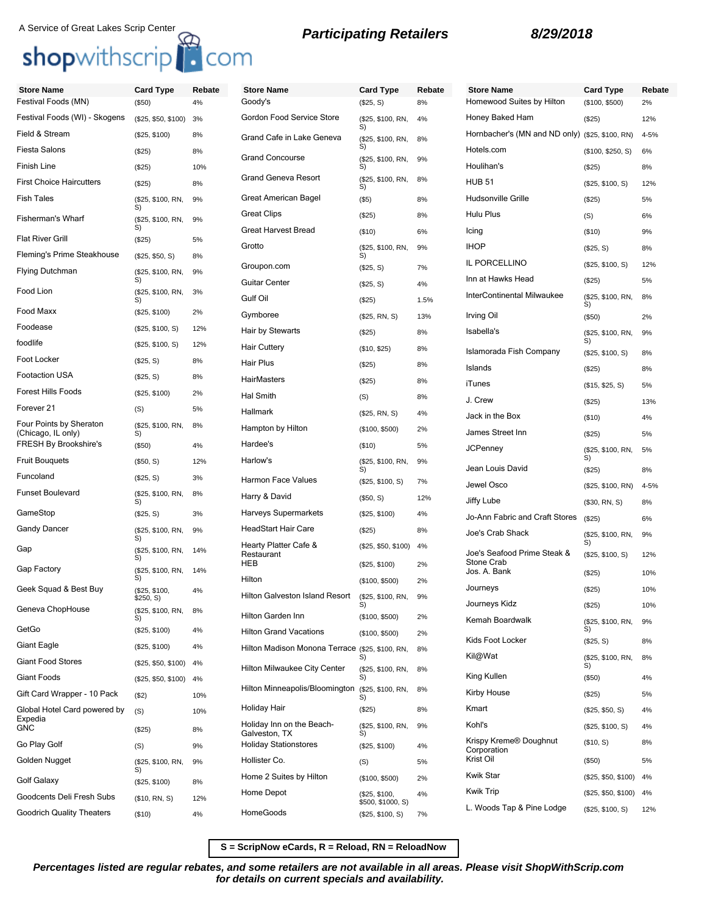# A Service of Great Lakes Scrip Center **Reduce A Service of Great Lakes Scrip Center**<br> **Shopwithscrip**<br> **Bropwithscrip**

| <b>Store Name</b>                             | <b>Card Type</b>           | Rebate | <b>Store Name</b>                               | <b>Card Type</b>                   | Rebate | <b>Store Name</b>                     | <b>Card Type</b>        | Rebate   |
|-----------------------------------------------|----------------------------|--------|-------------------------------------------------|------------------------------------|--------|---------------------------------------|-------------------------|----------|
| Festival Foods (MN)                           | (\$50)                     | 4%     | Goody's                                         | (\$25, S)                          | 8%     | Homewood Suites by Hilton             | (\$100, \$500)          | 2%       |
| Festival Foods (WI) - Skogens                 | (\$25, \$50, \$100)        | 3%     | Gordon Food Service Store                       | (\$25, \$100, RN,<br>S)            | 4%     | Honey Baked Ham                       | (\$25)                  | 12%      |
| Field & Stream                                | (\$25, \$100)              | 8%     | Grand Cafe in Lake Geneva                       | (\$25, \$100, RN,                  | 8%     | Hornbacher's (MN and ND only)         | (\$25, \$100, RN)       | $4 - 5%$ |
| <b>Fiesta Salons</b>                          | (\$25)                     | 8%     | <b>Grand Concourse</b>                          | S)<br>(\$25, \$100, RN,            | 9%     | Hotels.com                            | (\$100, \$250, S)       | 6%       |
| Finish Line                                   | (\$25)                     | 10%    |                                                 | S)                                 |        | Houlihan's                            | (\$25)                  | 8%       |
| <b>First Choice Haircutters</b>               | (\$25)                     | 8%     | <b>Grand Geneva Resort</b>                      | (\$25, \$100, RN,<br>S)            | 8%     | <b>HUB 51</b>                         | (\$25, \$100, S)        | 12%      |
| <b>Fish Tales</b>                             | (\$25, \$100, RN,<br>S)    | 9%     | Great American Bagel                            | (\$5)                              | 8%     | <b>Hudsonville Grille</b>             | (\$25)                  | 5%       |
| Fisherman's Wharf                             | (\$25, \$100, RN,          | 9%     | <b>Great Clips</b>                              | (\$25)                             | 8%     | Hulu Plus                             | (S)                     | 6%       |
| <b>Flat River Grill</b>                       | S)<br>(\$25)               | 5%     | <b>Great Harvest Bread</b>                      | (\$10)                             | 6%     | Icing                                 | (\$10)                  | 9%       |
| Fleming's Prime Steakhouse                    | (\$25, \$50, S)            | 8%     | Grotto                                          | (\$25, \$100, RN,<br>S)            | 9%     | <b>IHOP</b>                           | (\$25, S)               | 8%       |
| <b>Flying Dutchman</b>                        | (\$25, \$100, RN,          | 9%     | Groupon.com                                     | (\$25, S)                          | 7%     | IL PORCELLINO                         | (\$25, \$100, S)        | 12%      |
| Food Lion                                     | S)<br>(\$25, \$100, RN,    | 3%     | <b>Guitar Center</b>                            | (\$25, S)                          | 4%     | Inn at Hawks Head                     | (\$25)                  | 5%       |
| Food Maxx                                     | S)                         |        | Gulf Oil                                        | (\$25)                             | 1.5%   | InterContinental Milwaukee            | (\$25, \$100, RN,<br>S) | 8%       |
|                                               | (\$25, \$100)              | 2%     | Gymboree                                        | (\$25, RN, S)                      | 13%    | Irving Oil                            | (\$50)                  | 2%       |
| Foodease                                      | (\$25, \$100, S)           | 12%    | Hair by Stewarts                                | (\$25)                             | 8%     | Isabella's                            | (\$25, \$100, RN,<br>S) | 9%       |
| foodlife<br>Foot Locker                       | (\$25, \$100, S)           | 12%    | <b>Hair Cuttery</b>                             | (\$10, \$25)                       | 8%     | Islamorada Fish Company               | (\$25, \$100, S)        | 8%       |
|                                               | (\$25, S)                  | 8%     | Hair Plus                                       | (\$25)                             | 8%     | Islands                               | (\$25)                  | 8%       |
| Footaction USA                                | (\$25, S)                  | 8%     | HairMasters                                     | (\$25)                             | 8%     | iTunes                                | (\$15, \$25, S)         | 5%       |
| <b>Forest Hills Foods</b>                     | (\$25, \$100)              | 2%     | <b>Hal Smith</b>                                | (S)                                | 8%     | J. Crew                               | (\$25)                  | 13%      |
| Forever <sub>21</sub>                         | (S)                        | 5%     | Hallmark                                        | (\$25, RN, S)                      | 4%     | Jack in the Box                       | (\$10)                  | 4%       |
| Four Points by Sheraton<br>(Chicago, IL only) | (\$25, \$100, RN,<br>S)    | 8%     | Hampton by Hilton                               | (\$100, \$500)                     | 2%     | James Street Inn                      | (\$25)                  | 5%       |
| <b>FRESH By Brookshire's</b>                  | (\$50)                     | 4%     | Hardee's                                        | (\$10)                             | 5%     | <b>JCPenney</b>                       | (\$25, \$100, RN,       | 5%       |
| <b>Fruit Bouguets</b>                         | (\$50, S)                  | 12%    | Harlow's                                        | (\$25, \$100, RN,<br>S)            | 9%     | Jean Louis David                      | S)<br>(\$25)            | 8%       |
| Funcoland                                     | (\$25, S)                  | 3%     | Harmon Face Values                              | (\$25, \$100, S)                   | 7%     | Jewel Osco                            | (\$25, \$100, RN)       | $4 - 5%$ |
| <b>Funset Boulevard</b>                       | (\$25, \$100, RN,<br>S)    | 8%     | Harry & David                                   | (\$50, S)                          | 12%    | Jiffy Lube                            | (\$30, RN, S)           | 8%       |
| GameStop                                      | (\$25, S)                  | 3%     | Harveys Supermarkets                            | (\$25, \$100)                      | 4%     | Jo-Ann Fabric and Craft Stores        | (\$25)                  | 6%       |
| <b>Gandy Dancer</b>                           | (\$25, \$100, RN,<br>S)    | 9%     | <b>HeadStart Hair Care</b>                      | (\$25)                             | 8%     | Joe's Crab Shack                      | (\$25, \$100, RN,       | 9%       |
| Gap                                           | (\$25, \$100, RN,          | 14%    | Hearty Platter Cafe &<br>Restaurant             | (\$25, \$50, \$100)                | 4%     | Joe's Seafood Prime Steak &           | S)<br>(\$25, \$100, S)  | 12%      |
| Gap Factory                                   | S)<br>(\$25, \$100, RN,    | 14%    | HEB                                             | (\$25, \$100)                      | 2%     | Stone Crab<br>Jos. A. Bank            | (\$25)                  | 10%      |
| Geek Squad & Best Buy                         | S)                         | 4%     | Hilton                                          | (\$100, \$500)                     | 2%     | Journeys                              | (\$25)                  | 10%      |
|                                               | (\$25, \$100,<br>\$250, S) |        | <b>Hilton Galveston Island Resort</b>           | (\$25, \$100, RN,                  | 9%     | Journeys Kidz                         | (\$25)                  | 10%      |
| Geneva ChopHouse                              | (\$25, \$100, RN,          | 8%     | Hilton Garden Inn                               | (\$100, \$500)                     | 2%     | Kemah Boardwalk                       | (\$25, \$100, RN,       | 9%       |
| GetGo                                         | (\$25, \$100)              | 4%     | <b>Hilton Grand Vacations</b>                   | (\$100, \$500)                     | 2%     |                                       | S)                      |          |
| Giant Eagle                                   | (\$25, \$100)              | 4%     | Hilton Madison Monona Terrace (\$25, \$100, RN, |                                    | 8%     | Kids Foot Locker                      | (\$25, S)               | 8%       |
| <b>Giant Food Stores</b>                      | $($25, $50, $100)$ 4%      |        | Hilton Milwaukee City Center                    | S)<br>(\$25, \$100, RN,            | 8%     | Kil@Wat                               | (\$25, \$100, RN,<br>S) | 8%       |
| Giant Foods                                   | $($25, $50, $100)$ 4%      |        | Hilton Minneapolis/Bloomington                  | S)                                 |        | King Kullen                           | (\$50)                  | 4%       |
| Gift Card Wrapper - 10 Pack                   | (\$2)                      | 10%    |                                                 | (\$25, \$100, RN,<br>S)            | 8%     | Kirby House                           | (\$25)                  | 5%       |
| Global Hotel Card powered by<br>Expedia       | (S)                        | 10%    | Holiday Hair                                    | (\$25)                             | 8%     | Kmart                                 | (\$25, \$50, S)         | 4%       |
| <b>GNC</b>                                    | (\$25)                     | 8%     | Holiday Inn on the Beach-<br>Galveston, TX      | (\$25, \$100, RN,<br>S)            | 9%     | Kohl's                                | (\$25, \$100, S)        | 4%       |
| Go Play Golf                                  | (S)                        | 9%     | <b>Holiday Stationstores</b>                    | (\$25, \$100)                      | 4%     | Krispy Kreme® Doughnut<br>Corporation | (\$10, S)               | 8%       |
| Golden Nugget                                 | (\$25, \$100, RN,          | 9%     | Hollister Co.                                   | (S)                                | 5%     | Krist Oil                             | (\$50)                  | 5%       |
| Golf Galaxy                                   | (\$25, \$100)              | 8%     | Home 2 Suites by Hilton                         | (\$100, \$500)                     | 2%     | <b>Kwik Star</b>                      | $($25, $50, $100)$ 4%   |          |
| Goodcents Deli Fresh Subs                     | (\$10, RN, S)              | 12%    | Home Depot                                      | (\$25, \$100,<br>\$500, \$1000, S) | 4%     | <b>Kwik Trip</b>                      | $($25, $50, $100)$ 4%   |          |
| <b>Goodrich Quality Theaters</b>              | (\$10)                     | 4%     | HomeGoods                                       | (\$25, \$100, S)                   | 7%     | L. Woods Tap & Pine Lodge             | (\$25, \$100, S)        | 12%      |

**S = ScripNow eCards, R = Reload, RN = ReloadNow**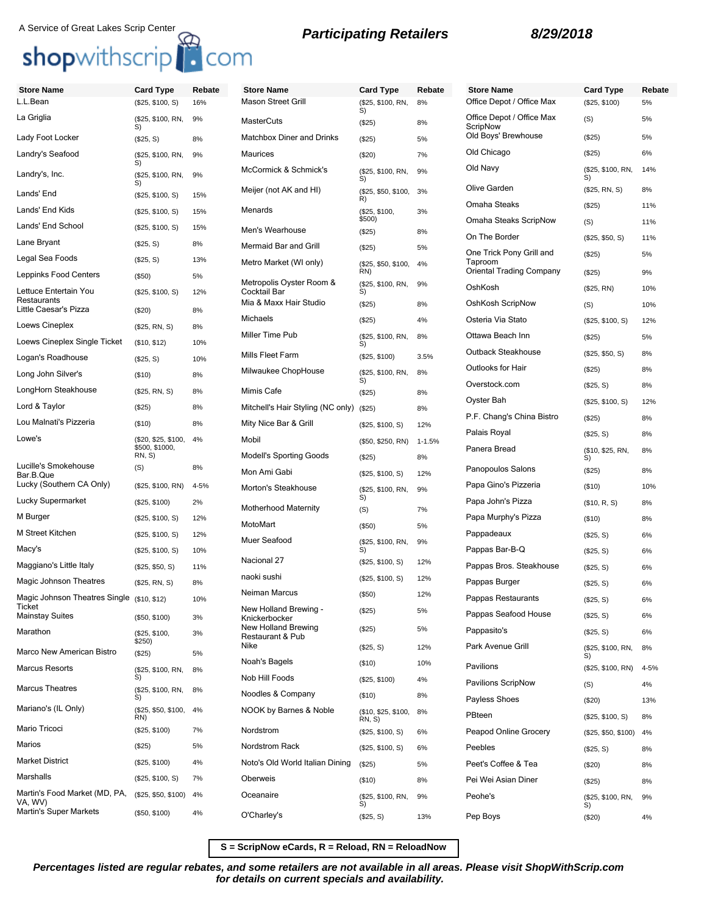## A Service of Great Lakes Scrip Center<br> **Participating Retailers** 8/29/2018

## shopwithscrip<sup>1</sup> com

## **Store Name Card Type Rebate** L.L.Bean (\$25, \$100, S) 16% La Griglia (\$25, \$100, RN, S) 9% Lady Foot Locker (\$25, S) 8% Landry's Seafood (\$25, \$100, RN, S) 9% Landry's, Inc. (\$25, \$100, RN, 5) 9% Lands' End (\$25, \$100, S) 15% Lands' End Kids (\$25, \$100, S) 15% Lands' End School (\$25, \$100, S) 15% Lane Bryant (\$25, S) 8% Legal Sea Foods (\$25, S) 13% Leppinks Food Centers (\$50) 5% Lettuce Entertain You **Restaurants** (\$25, \$100, S) 12% Little Caesar's Pizza (\$20) 8% Loews Cineplex (\$25, RN, S) 8% Loews Cineplex Single Ticket (\$10, \$12) 10% Logan's Roadhouse (\$25, S) 10% Long John Silver's (\$10) 8% LongHorn Steakhouse (\$25, RN, S) 8% Lord & Taylor (\$25) 8% Lou Malnati's Pizzeria (\$10) 8% Lowe's (\$20, \$25, \$100, \$500, \$1000, RN, S) 4% Lucille's Smokehouse Bar.B.Que  $($ S $)$  8% Lucky (Southern CA Only) (\$25, \$100, RN) 4-5% Lucky Supermarket (\$25, \$100) 2% M Burger (\$25, \$100, S) 12% M Street Kitchen (\$25, \$100, S) 12% Macy's (\$25, \$100, S) 10% Maggiano's Little Italy (\$25, \$50, S) 11% Magic Johnson Theatres (\$25, RN, S) 8% Magic Johnson Theatres Single (\$10, \$12) 10% **Ticket** Mainstay Suites (\$50, \$100) 3% Marathon (\$25, \$100, \$250) 3% Marco New American Bistro (\$25) 5% Marcus Resorts (\$25, \$100, RN, S) 8% Marcus Theatres (\$25, \$100, RN,  $\widetilde{\mathbf{S}}$ 8% Mariano's (IL Only) RN) (\$25, \$50, \$100, 4% Mario Tricoci (\$25, \$100) 7% Marios (\$25) 5% Market District (\$25, \$100) 4% Marshalls (\$25, \$100, S) 7%

Martin's Food Market (MD, PA,

Martin's Super Markets (\$50, \$100) 4%

(\$25, \$50, \$100) 4%

VA, WV)

| Store Name                               | Card Type                     | Rebate     |
|------------------------------------------|-------------------------------|------------|
| <b>Mason Street Grill</b>                | (\$25, \$100, RN,<br>S)       | 8%         |
| MasterCuts                               | (\$25)                        | 8%         |
| Matchbox Diner and Drinks                | $(\$25)$                      | 5%         |
| Maurices                                 | ( \$20)                       | 7%         |
| McCormick & Schmick's                    | (\$25, \$100, RN,<br>S)       | 9%         |
| Meijer (not AK and HI)                   | (\$25, \$50, \$100,<br>R)     | 3%         |
| Menards                                  | (\$25, \$100,<br>\$500)       | 3%         |
| Men's Wearhouse                          | (\$25)                        | 8%         |
| <b>Mermaid Bar and Grill</b>             | (S25)                         | 5%         |
| Metro Market (WI only)                   | (\$25, \$50, \$100,<br>RN)    | 4%         |
| Metropolis Oyster Room &<br>Cocktail Bar | (\$25, \$100, RN,<br>S)       | 9%         |
| Mia & Maxx Hair Studio                   | (\$25)                        | 8%         |
| Michaels                                 | (S25)                         | 4%         |
| Miller Time Pub                          | (\$25, \$100, RN,<br>S)       | 8%         |
| Mills Fleet Farm                         | (\$25, \$100)                 | 3.5%       |
| Milwaukee ChopHouse                      | (\$25, \$100, RN,<br>S)       | 8%         |
| Mimis Cafe                               | (S25)                         | 8%         |
| Mitchell's Hair Styling (NC only)        | (\$25)                        | 8%         |
| Mity Nice Bar & Grill                    | (\$25, \$100, S)              | 12%        |
| Mobil                                    | (\$50, \$250, RN)             | $1 - 1.5%$ |
| <b>Modell's Sporting Goods</b>           | (\$25)                        | 8%         |
| Mon Ami Gabi                             | (\$25, \$100, S)              | 12%        |
| Morton's Steakhouse                      | (\$25, \$100, RN,<br>S)       | 9%         |
| <b>Motherhood Maternity</b>              | (S)                           | 7%         |
| MotoMart                                 | $($ \$50)                     | 5%         |
| Muer Seafood                             | (\$25, \$100, RN,<br>S)       | 9%         |
| Nacional 27                              | (\$25, \$100, S)              | 12%        |
| naoki sushi                              | (\$25, \$100, S)              | 12%        |
| Neiman Marcus                            | (\$50)                        | 12%        |
| New Holland Brewing -<br>Knickerbocker   | (S25)                         | 5%         |
| New Holland Brewing<br>Restaurant & Pub  | (\$25)                        | 5%         |
| Nike                                     | (\$25, S)                     | 12%        |
| Noah's Bagels                            | (\$10)                        | 10%        |
| Nob Hill Foods                           | (\$25, \$100)                 | 4%         |
| Noodles & Company                        | (\$10)                        | 8%         |
| NOOK by Barnes & Noble                   | (\$10, \$25, \$100,<br>RN, S) | 8%         |
| Nordstrom                                | (\$25, \$100, S)              | 6%         |
| Nordstrom Rack                           | (\$25, \$100, S)              | 6%         |
| Noto's Old World Italian Dining          | (\$25)                        | 5%         |
| Oberweis                                 | $($ \$10)                     | 8%         |
| Oceanaire                                | (\$25, \$100, RN,             | 9%         |
| O'Charley's                              | S)<br>(\$25, S)               | 13%        |

| Rebate     | Store Name                                                      | <b>Card Type</b>               | Rebate   |
|------------|-----------------------------------------------------------------|--------------------------------|----------|
| 8%         | Office Depot / Office Max                                       | (\$25, \$100)                  | 5%       |
| 8%         | Office Depot / Office Max<br>ScripNow                           | (S)                            | 5%       |
| 5%         | Old Boys' Brewhouse                                             | (\$25)                         | 5%       |
| 7%         | Old Chicago                                                     | $(\$25)$                       | 6%       |
| 9%         | Old Navy                                                        | (\$25, \$100, RN,<br>S)        | 14%      |
| 3%         | Olive Garden                                                    | (\$25, RN, S)                  | 8%       |
| 3%         | Omaha Steaks                                                    | (\$25)                         | 11%      |
|            | Omaha Steaks ScripNow                                           | (S)                            | 11%      |
| 8%         | On The Border                                                   | (\$25, \$50, S)                | 11%      |
| 5%<br>4%   | One Trick Pony Grill and<br>Taproom<br>Oriental Trading Company | (\$25)<br>(\$25)               | 5%<br>9% |
| 9%         | OshKosh                                                         | (\$25, RN)                     | 10%      |
| 8%         | OshKosh ScripNow                                                | (S)                            | 10%      |
| 4%         | Osteria Via Stato                                               | (\$25, \$100, S)               | 12%      |
| 8%         | Ottawa Beach Inn                                                | $(\$25)$                       | 5%       |
|            | Outback Steakhouse                                              | (\$25, \$50, S)                | 8%       |
| 3.5%       | Outlooks for Hair                                               | (\$25)                         | 8%       |
| 8%         | Overstock.com                                                   | (\$25, S)                      | 8%       |
| 8%         | Oyster Bah                                                      | (\$25, \$100, S)               | 12%      |
| 8%         | P.F. Chang's China Bistro                                       | $(\$25)$                       | 8%       |
| 12%        | Palais Royal                                                    | (\$25, S)                      | 8%       |
| $1 - 1.5%$ | Panera Bread                                                    | (\$10, \$25, RN,               | 8%       |
| 8%         |                                                                 | S)                             |          |
| 12%        | Panopoulos Salons                                               | (\$25)                         | 8%       |
| 9%         | Papa Gino's Pizzeria                                            | (\$10)                         | 10%      |
| 7%         | Papa John's Pizza                                               | (\$10, R, S)                   | 8%       |
| 5%         | Papa Murphy's Pizza                                             | (\$10)                         | 8%       |
| 9%         | Pappadeaux                                                      | (\$25, S)                      | 6%       |
| 12%        | Pappas Bar-B-Q                                                  | (\$25, S)                      | 6%       |
| 12%        | Pappas Bros. Steakhouse                                         | $(\$25, S)$                    | 6%       |
| 12%        | Pappas Burger                                                   | (\$25, S)                      | 6%       |
| 5%         | Pappas Restaurants                                              | (\$25, S)                      | 6%       |
| 5%         | Pappas Seafood House                                            | (\$25, S)                      | 6%       |
| 12%        | Pappasito's<br>Park Avenue Grill                                | (\$25, S)<br>(\$25, \$100, RN, | 6%<br>8% |
| 10%        | Pavilions                                                       | S)                             |          |
| 4%         | Pavilions ScripNow                                              | (\$25, \$100, RN)              | 4-5%     |
| 8%         | Payless Shoes                                                   | (S)                            | 4%       |
| 8%         | PBteen                                                          | $(\$20)$                       | 13%      |
| 6%         | Peapod Online Grocery                                           | (\$25, \$100, S)               | 8%       |
| 6%         | Peebles                                                         | (\$25, \$50, \$100)            | 4%       |
|            | Peet's Coffee & Tea                                             | (\$25, S)                      | 8%       |
| 5%         | Pei Wei Asian Diner                                             | $(\$20)$                       | 8%       |
| 8%         | Peohe's                                                         | (\$25)                         | 8%       |
| 9%         |                                                                 | (\$25, \$100, RN,<br>S)        | 9%       |
| 13%        | Pep Boys                                                        | (S20)                          | 4%       |

## **S = ScripNow eCards, R = Reload, RN = ReloadNow**

**Percentages listed are regular rebates, and some retailers are not available in all areas. Please visit ShopWithScrip.com for details on current specials and availability.**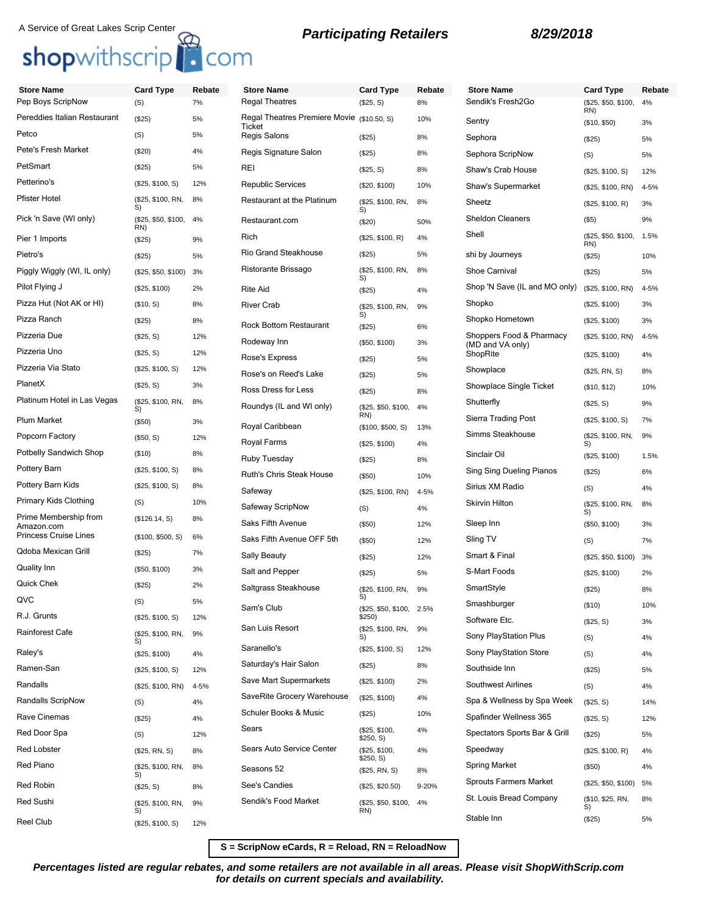# A Service of Great Lakes Scrip Center **Reduce A Service of Great Lakes Scrip Center**<br> **Shop**withscrip **C**OM

**Store Name Card Type Rebate**

| <b>Store Name</b>                          | <b>Card Type</b>           | Rebate | <b>Store Name</b>                                    | <b>Card Type</b>                   | Rebate | <b>Store Name</b>             | <b>Card Type</b>           | Reb      |
|--------------------------------------------|----------------------------|--------|------------------------------------------------------|------------------------------------|--------|-------------------------------|----------------------------|----------|
| Pep Boys ScripNow                          | (S)                        | 7%     | <b>Regal Theatres</b>                                | (\$25, S)                          | 8%     | Sendik's Fresh2Go             | (\$25, \$50, \$100,<br>RN) | 4%       |
| Pereddies Italian Restaurant               | (\$25)                     | 5%     | Regal Theatres Premiere Movie (\$10.50, S)<br>Ticket |                                    | 10%    | Sentry                        | (\$10, \$50)               | 3%       |
| Petco                                      | (S)                        | 5%     | Regis Salons                                         | (\$25)                             | 8%     | Sephora                       | (\$25)                     | 5%       |
| Pete's Fresh Market                        | (\$20)                     | 4%     | Regis Signature Salon                                | (\$25)                             | 8%     | Sephora ScripNow              | (S)                        | 5%       |
| PetSmart                                   | (\$25)                     | 5%     | REI                                                  | (\$25, S)                          | 8%     | Shaw's Crab House             | (\$25, \$100, S)           | 12%      |
| Petterino's                                | (\$25, \$100, S)           | 12%    | <b>Republic Services</b>                             | (\$20, \$100)                      | 10%    | Shaw's Supermarket            | (\$25, \$100, RN)          | 4-5%     |
| <b>Pfister Hotel</b>                       | (\$25, \$100, RN,<br>S)    | 8%     | Restaurant at the Platinum                           | (\$25, \$100, RN,<br>S)            | 8%     | Sheetz                        | (\$25, \$100, R)           | 3%       |
| Pick 'n Save (WI only)                     | (\$25, \$50, \$100,<br>RN) | 4%     | Restaurant.com                                       | (\$20)                             | 50%    | <b>Sheldon Cleaners</b>       | (\$5)                      | 9%       |
| Pier 1 Imports                             | (\$25)                     | 9%     | Rich                                                 | (\$25, \$100, R)                   | 4%     | Shell                         | (\$25, \$50, \$100,<br>RN) | 1.5%     |
| Pietro's                                   | (\$25)                     | 5%     | Rio Grand Steakhouse                                 | (\$25)                             | 5%     | shi by Journeys               | (\$25)                     | 10%      |
| Piggly Wiggly (WI, IL only)                | (\$25, \$50, \$100) 3%     |        | Ristorante Brissago                                  | (\$25, \$100, RN,<br>S)            | 8%     | <b>Shoe Carnival</b>          | (\$25)                     | 5%       |
| Pilot Flying J                             | (\$25, \$100)              | 2%     | <b>Rite Aid</b>                                      | (\$25)                             | 4%     | Shop 'N Save (IL and MO only) | (\$25, \$100, RN)          | 4-5%     |
| Pizza Hut (Not AK or HI)                   | (\$10, S)                  | 8%     | <b>River Crab</b>                                    | (\$25, \$100, RN,                  | 9%     | Shopko                        | (\$25, \$100)              | 3%       |
| Pizza Ranch                                | (\$25)                     | 8%     | <b>Rock Bottom Restaurant</b>                        | S)<br>(\$25)                       | 6%     | Shopko Hometown               | (\$25, \$100)              | 3%       |
| Pizzeria Due                               | (\$25, S)                  | 12%    | Rodeway Inn                                          | (\$50, \$100)                      | 3%     | Shoppers Food & Pharmacy      | (\$25, \$100, RN)          | $4 - 5%$ |
| Pizzeria Uno                               | (\$25, S)                  | 12%    | Rose's Express                                       | (\$25)                             | 5%     | (MD and VA only)<br>ShopRite  | (\$25, \$100)              | 4%       |
| Pizzeria Via Stato                         | (\$25, \$100, S)           | 12%    | Rose's on Reed's Lake                                | (\$25)                             | 5%     | Showplace                     | (\$25, RN, S)              | 8%       |
| PlanetX                                    | (\$25, S)                  | 3%     | Ross Dress for Less                                  | (\$25)                             | 8%     | Showplace Single Ticket       | (\$10, \$12)               | 10%      |
| Platinum Hotel in Las Vegas                | (\$25, \$100, RN,<br>S)    | 8%     | Roundys (IL and WI only)                             | (\$25, \$50, \$100,                | 4%     | Shutterfly                    | (\$25, S)                  | 9%       |
| Plum Market                                | (\$50)                     | 3%     | Royal Caribbean                                      | RN)                                |        | Sierra Trading Post           | (\$25, \$100, S)           | 7%       |
| Popcorn Factory                            | (\$50, S)                  | 12%    | Royal Farms                                          | (\$100, \$500, S)                  | 13%    | Simms Steakhouse              | (\$25, \$100, RN,          | 9%       |
| Potbelly Sandwich Shop                     | (\$10)                     | 8%     | Ruby Tuesday                                         | (\$25, \$100)                      | 4%     | Sinclair Oil                  | S)<br>(\$25, \$100)        | 1.5%     |
| Pottery Barn                               | (\$25, \$100, S)           | 8%     | Ruth's Chris Steak House                             | (\$25)                             | 8%     | Sing Sing Dueling Pianos      | (\$25)                     | 6%       |
| Pottery Barn Kids                          | (\$25, \$100, S)           | 8%     |                                                      | (\$50)                             | 10%    | Sirius XM Radio               | (S)                        | 4%       |
| Primary Kids Clothing                      | (S)                        | 10%    | Safeway<br>Safeway ScripNow                          | (\$25, \$100, RN)                  | 4-5%   | <b>Skirvin Hilton</b>         | (\$25, \$100, RN,          | 8%       |
| Prime Membership from                      | (\$126.14, S)              | 8%     | Saks Fifth Avenue                                    | (S)                                | 4%     |                               | S)                         |          |
| Amazon.com<br><b>Princess Cruise Lines</b> | (\$100, \$500, S)          | 6%     | Saks Fifth Avenue OFF 5th                            | (\$50)                             | 12%    | Sleep Inn<br>Sling TV         | (\$50, \$100)              | 3%       |
| Qdoba Mexican Grill                        | (\$25)                     | 7%     |                                                      | (\$50)                             | 12%    | Smart & Final                 | (S)                        | 7%       |
| Quality Inn                                | (\$50, \$100)              | 3%     | Sally Beauty                                         | (\$25)                             | 12%    |                               | (\$25, \$50, \$100)        | 3%       |
| Quick Chek                                 | (\$25)                     | 2%     | Salt and Pepper                                      | (\$25)                             | 5%     | S-Mart Foods                  | (\$25, \$100)              | 2%       |
| QVC                                        | (S)                        |        | Saltgrass Steakhouse                                 | (\$25, \$100, RN,<br>S)            | 9%     | SmartStyle                    | (\$25)                     | 8%       |
| R.J. Grunts                                |                            | 5%     | Sam's Club                                           | (\$25, \$50, \$100, 2.5%<br>\$250) |        | Smashburger                   | (\$10)                     | 10%      |
|                                            | (\$25, \$100, S)           | 12%    | San Luis Resort                                      | (\$25, \$100, RN,                  | 9%     | Software Etc.                 | (\$25, S)                  | 3%       |
| <b>Rainforest Cafe</b>                     | (\$25, \$100, RN,<br>S)    | 9%     | Saranello's                                          | S)                                 |        | Sony PlayStation Plus         | (S)                        | 4%       |
| Raley's                                    | (\$25, \$100)              | 4%     |                                                      | (\$25, \$100, S)                   | 12%    | Sony PlayStation Store        | (S)                        | 4%       |
| Ramen-San                                  | (\$25, \$100, S)           | 12%    | Saturday's Hair Salon                                | (\$25)                             | 8%     | Southside Inn                 | (\$25)                     | 5%       |
| Randalls                                   | (\$25, \$100, RN)          | 4-5%   | Save Mart Supermarkets<br>SaveRite Grocery Warehouse | (\$25, \$100)                      | 2%     | <b>Southwest Airlines</b>     | (S)                        | 4%       |
| Randalls ScripNow                          | (S)                        | 4%     | Schuler Books & Music                                | (\$25, \$100)                      | 4%     | Spa & Wellness by Spa Week    | (\$25, S)                  | 14%      |
| Rave Cinemas                               | (\$25)                     | 4%     |                                                      | (\$25)                             | 10%    | Spafinder Wellness 365        | (\$25, S)                  | 12%      |
| Red Door Spa                               | (S)                        | 12%    | Sears                                                | (\$25, \$100,<br>\$250, S)         | 4%     | Spectators Sports Bar & Grill | (\$25)                     | 5%       |
| Red Lobster                                | (\$25, RN, S)              | 8%     | Sears Auto Service Center                            | (\$25, \$100,<br>\$250, S)         | 4%     | Speedway                      | (\$25, \$100, R)           | 4%       |
| Red Piano                                  | (\$25, \$100, RN,<br>S)    | 8%     | Seasons 52                                           | (\$25, RN, S)                      | 8%     | Spring Market                 | $(\$50)$                   | 4%       |
| Red Robin                                  | (\$25, S)                  | 8%     | See's Candies                                        | (\$25, \$20.50)                    | 9-20%  | <b>Sprouts Farmers Market</b> | (\$25, \$50, \$100)        | 5%       |
| Red Sushi                                  | (\$25, \$100, RN,<br>S)    | 9%     | Sendik's Food Market                                 | (\$25, \$50, \$100,<br>RN)         | 4%     | St. Louis Bread Company       | (\$10, \$25, RN,<br>S)     | 8%       |
| Reel Club                                  | (\$25, \$100, S)           | 12%    |                                                      |                                    |        | Stable Inn                    | (\$25)                     | 5%       |
|                                            |                            |        |                                                      |                                    |        |                               |                            |          |

**S = ScripNow eCards, R = Reload, RN = ReloadNow**